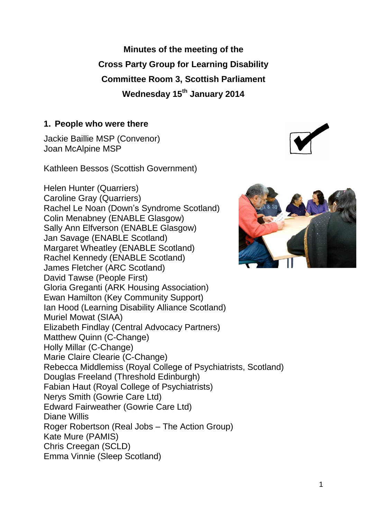**Minutes of the meeting of the Cross Party Group for Learning Disability Committee Room 3, Scottish Parliament Wednesday 15th January 2014**

#### **1. People who were there**

Jackie Baillie MSP (Convenor) Joan McAlpine MSP

Kathleen Bessos (Scottish Government)

Helen Hunter (Quarriers) Caroline Gray (Quarriers) Rachel Le Noan (Down's Syndrome Scotland) Colin Menabney (ENABLE Glasgow) Sally Ann Elfverson (ENABLE Glasgow) Jan Savage (ENABLE Scotland) Margaret Wheatley (ENABLE Scotland) Rachel Kennedy (ENABLE Scotland) James Fletcher (ARC Scotland) David Tawse (People First) Gloria Greganti (ARK Housing Association) Ewan Hamilton (Key Community Support) Ian Hood (Learning Disability Alliance Scotland) Muriel Mowat (SIAA) Elizabeth Findlay (Central Advocacy Partners) Matthew Quinn (C-Change) Holly Millar (C-Change) Marie Claire Clearie (C-Change) Rebecca Middlemiss (Royal College of Psychiatrists, Scotland) Douglas Freeland (Threshold Edinburgh) Fabian Haut (Royal College of Psychiatrists) Nerys Smith (Gowrie Care Ltd) Edward Fairweather (Gowrie Care Ltd) Diane Willis Roger Robertson (Real Jobs – The Action Group) Kate Mure (PAMIS) Chris Creegan (SCLD) Emma Vinnie (Sleep Scotland)



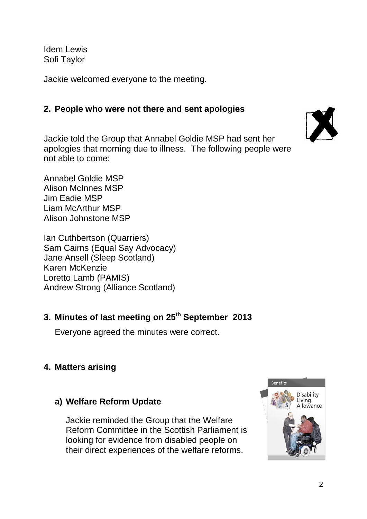Idem Lewis Sofi Taylor

Jackie welcomed everyone to the meeting.

### **2. People who were not there and sent apologies**

Jackie told the Group that Annabel Goldie MSP had sent her apologies that morning due to illness. The following people were not able to come:

Annabel Goldie MSP Alison McInnes MSP Jim Eadie MSP Liam McArthur MSP Alison Johnstone MSP

Ian Cuthbertson (Quarriers) Sam Cairns (Equal Say Advocacy) Jane Ansell (Sleep Scotland) Karen McKenzie Loretto Lamb (PAMIS) Andrew Strong (Alliance Scotland)

# **3. Minutes of last meeting on 25th September 2013**

Everyone agreed the minutes were correct.

# **4. Matters arising**

# **a) Welfare Reform Update**

Jackie reminded the Group that the Welfare Reform Committee in the Scottish Parliament is looking for evidence from disabled people on their direct experiences of the welfare reforms.



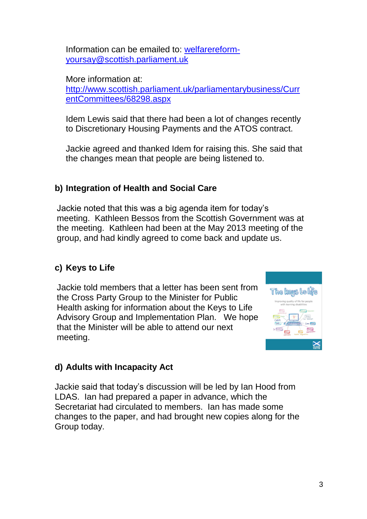Information can be emailed to: [welfarereform](mailto:welfarereform-yoursay@scottish.parliament.uk)[yoursay@scottish.parliament.uk](mailto:welfarereform-yoursay@scottish.parliament.uk)

More information at:

[http://www.scottish.parliament.uk/parliamentarybusiness/Curr](http://www.scottish.parliament.uk/parliamentarybusiness/CurrentCommittees/68298.aspx) [entCommittees/68298.aspx](http://www.scottish.parliament.uk/parliamentarybusiness/CurrentCommittees/68298.aspx)

Idem Lewis said that there had been a lot of changes recently to Discretionary Housing Payments and the ATOS contract.

Jackie agreed and thanked Idem for raising this. She said that the changes mean that people are being listened to.

# **b) Integration of Health and Social Care**

Jackie noted that this was a big agenda item for today's meeting. Kathleen Bessos from the Scottish Government was at the meeting. Kathleen had been at the May 2013 meeting of the group, and had kindly agreed to come back and update us.

# **c) Keys to Life**

Jackie told members that a letter has been sent from the Cross Party Group to the Minister for Public Health asking for information about the Keys to Life Advisory Group and Implementation Plan. We hope that the Minister will be able to attend our next meeting.



# **d) Adults with Incapacity Act**

Jackie said that today's discussion will be led by Ian Hood from LDAS. Ian had prepared a paper in advance, which the Secretariat had circulated to members. Ian has made some changes to the paper, and had brought new copies along for the Group today.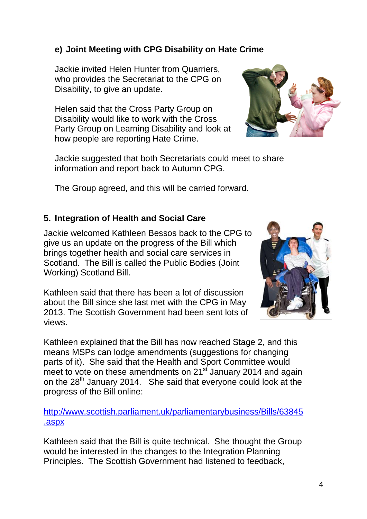## **e) Joint Meeting with CPG Disability on Hate Crime**

Jackie invited Helen Hunter from Quarriers, who provides the Secretariat to the CPG on Disability, to give an update.

Helen said that the Cross Party Group on Disability would like to work with the Cross Party Group on Learning Disability and look at how people are reporting Hate Crime.



Jackie suggested that both Secretariats could meet to share information and report back to Autumn CPG.

The Group agreed, and this will be carried forward.

## **5. Integration of Health and Social Care**

Jackie welcomed Kathleen Bessos back to the CPG to give us an update on the progress of the Bill which brings together health and social care services in Scotland. The Bill is called the Public Bodies (Joint Working) Scotland Bill.

Kathleen said that there has been a lot of discussion about the Bill since she last met with the CPG in May 2013. The Scottish Government had been sent lots of views.



Kathleen explained that the Bill has now reached Stage 2, and this means MSPs can lodge amendments (suggestions for changing parts of it). She said that the Health and Sport Committee would meet to vote on these amendments on  $21<sup>st</sup>$  January 2014 and again on the 28<sup>th</sup> January 2014. She said that everyone could look at the progress of the Bill online:

[http://www.scottish.parliament.uk/parliamentarybusiness/Bills/63845](http://www.scottish.parliament.uk/parliamentarybusiness/Bills/63845.aspx) [.aspx](http://www.scottish.parliament.uk/parliamentarybusiness/Bills/63845.aspx)

Kathleen said that the Bill is quite technical. She thought the Group would be interested in the changes to the Integration Planning Principles. The Scottish Government had listened to feedback,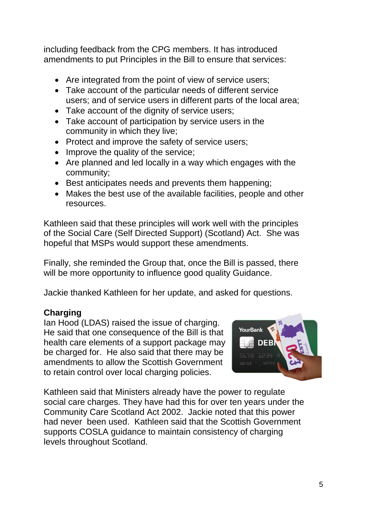including feedback from the CPG members. It has introduced amendments to put Principles in the Bill to ensure that services:

- Are integrated from the point of view of service users;
- Take account of the particular needs of different service users; and of service users in different parts of the local area;
- Take account of the dignity of service users;
- Take account of participation by service users in the community in which they live;
- Protect and improve the safety of service users;
- Improve the quality of the service;
- Are planned and led locally in a way which engages with the community;
- Best anticipates needs and prevents them happening;
- Makes the best use of the available facilities, people and other resources.

Kathleen said that these principles will work well with the principles of the Social Care (Self Directed Support) (Scotland) Act. She was hopeful that MSPs would support these amendments.

Finally, she reminded the Group that, once the Bill is passed, there will be more opportunity to influence good quality Guidance.

Jackie thanked Kathleen for her update, and asked for questions.

# **Charging**

Ian Hood (LDAS) raised the issue of charging. He said that one consequence of the Bill is that health care elements of a support package may be charged for. He also said that there may be amendments to allow the Scottish Government to retain control over local charging policies.



Kathleen said that Ministers already have the power to regulate social care charges. They have had this for over ten years under the Community Care Scotland Act 2002. Jackie noted that this power had never been used. Kathleen said that the Scottish Government supports COSLA guidance to maintain consistency of charging levels throughout Scotland.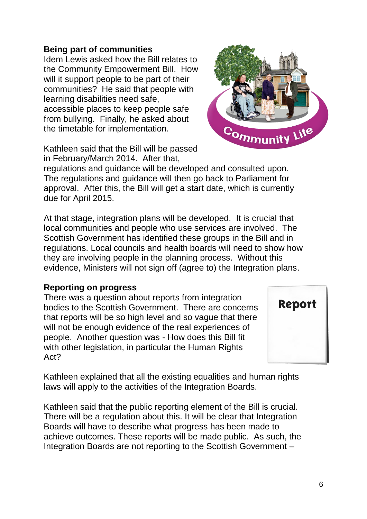#### 6

### **Being part of communities**

Idem Lewis asked how the Bill relates to the Community Empowerment Bill. How will it support people to be part of their communities? He said that people with learning disabilities need safe, accessible places to keep people safe from bullying. Finally, he asked about the timetable for implementation.

Kathleen said that the Bill will be passed in February/March 2014. After that,

regulations and guidance will be developed and consulted upon. The regulations and guidance will then go back to Parliament for approval. After this, the Bill will get a start date, which is currently due for April 2015.

At that stage, integration plans will be developed. It is crucial that local communities and people who use services are involved. The Scottish Government has identified these groups in the Bill and in regulations. Local councils and health boards will need to show how they are involving people in the planning process. Without this evidence, Ministers will not sign off (agree to) the Integration plans.

#### **Reporting on progress**

There was a question about reports from integration bodies to the Scottish Government. There are concerns that reports will be so high level and so vague that there will not be enough evidence of the real experiences of people. Another question was - How does this Bill fit with other legislation, in particular the Human Rights Act?

Kathleen explained that all the existing equalities and human rights laws will apply to the activities of the Integration Boards.

Kathleen said that the public reporting element of the Bill is crucial. There will be a regulation about this. It will be clear that Integration Boards will have to describe what progress has been made to achieve outcomes. These reports will be made public. As such, the Integration Boards are not reporting to the Scottish Government –



Report

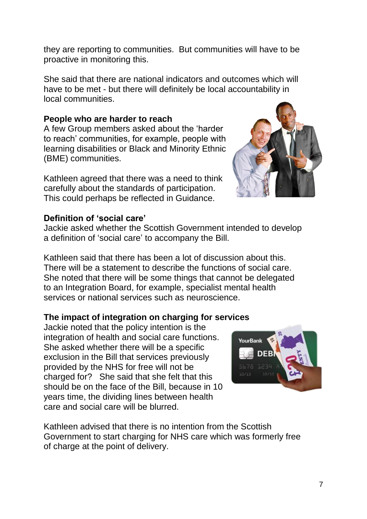they are reporting to communities. But communities will have to be proactive in monitoring this.

She said that there are national indicators and outcomes which will have to be met - but there will definitely be local accountability in local communities.

#### **People who are harder to reach**

A few Group members asked about the 'harder to reach' communities, for example, people with learning disabilities or Black and Minority Ethnic (BME) communities.

Kathleen agreed that there was a need to think carefully about the standards of participation. This could perhaps be reflected in Guidance.

#### **Definition of 'social care'**

Jackie asked whether the Scottish Government intended to develop a definition of 'social care' to accompany the Bill.

Kathleen said that there has been a lot of discussion about this. There will be a statement to describe the functions of social care. She noted that there will be some things that cannot be delegated to an Integration Board, for example, specialist mental health services or national services such as neuroscience.

#### **The impact of integration on charging for services**

Jackie noted that the policy intention is the integration of health and social care functions. She asked whether there will be a specific exclusion in the Bill that services previously provided by the NHS for free will not be charged for? She said that she felt that this should be on the face of the Bill, because in 10 years time, the dividing lines between health care and social care will be blurred.

Kathleen advised that there is no intention from the Scottish Government to start charging for NHS care which was formerly free of charge at the point of delivery.



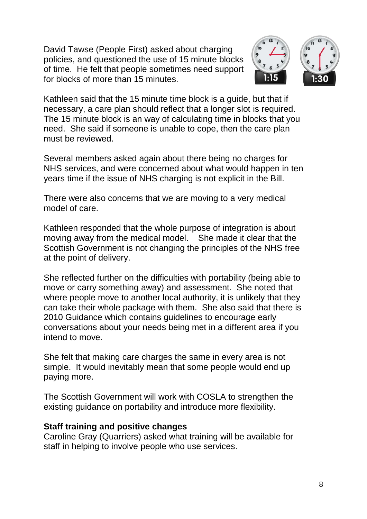David Tawse (People First) asked about charging policies, and questioned the use of 15 minute blocks of time. He felt that people sometimes need support for blocks of more than 15 minutes.





Several members asked again about there being no charges for NHS services, and were concerned about what would happen in ten years time if the issue of NHS charging is not explicit in the Bill.

There were also concerns that we are moving to a very medical model of care.

Kathleen responded that the whole purpose of integration is about moving away from the medical model. She made it clear that the Scottish Government is not changing the principles of the NHS free at the point of delivery.

She reflected further on the difficulties with portability (being able to move or carry something away) and assessment. She noted that where people move to another local authority, it is unlikely that they can take their whole package with them. She also said that there is 2010 Guidance which contains guidelines to encourage early conversations about your needs being met in a different area if you intend to move.

She felt that making care charges the same in every area is not simple. It would inevitably mean that some people would end up paying more.

The Scottish Government will work with COSLA to strengthen the existing guidance on portability and introduce more flexibility.

#### **Staff training and positive changes**

Caroline Gray (Quarriers) asked what training will be available for staff in helping to involve people who use services.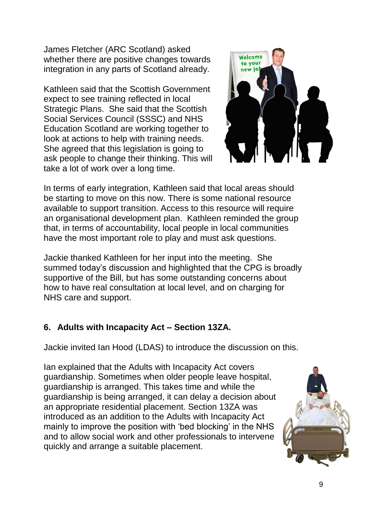James Fletcher (ARC Scotland) asked whether there are positive changes towards integration in any parts of Scotland already.

Kathleen said that the Scottish Government expect to see training reflected in local Strategic Plans. She said that the Scottish Social Services Council (SSSC) and NHS Education Scotland are working together to look at actions to help with training needs. She agreed that this legislation is going to ask people to change their thinking. This will take a lot of work over a long time.



In terms of early integration, Kathleen said that local areas should be starting to move on this now. There is some national resource available to support transition. Access to this resource will require an organisational development plan. Kathleen reminded the group that, in terms of accountability, local people in local communities have the most important role to play and must ask questions.

Jackie thanked Kathleen for her input into the meeting. She summed today's discussion and highlighted that the CPG is broadly supportive of the Bill, but has some outstanding concerns about how to have real consultation at local level, and on charging for NHS care and support.

### **6. Adults with Incapacity Act – Section 13ZA.**

Jackie invited Ian Hood (LDAS) to introduce the discussion on this.

Ian explained that the Adults with Incapacity Act covers guardianship. Sometimes when older people leave hospital, guardianship is arranged. This takes time and while the guardianship is being arranged, it can delay a decision about an appropriate residential placement. Section 13ZA was introduced as an addition to the Adults with Incapacity Act mainly to improve the position with 'bed blocking' in the NHS and to allow social work and other professionals to intervene quickly and arrange a suitable placement.

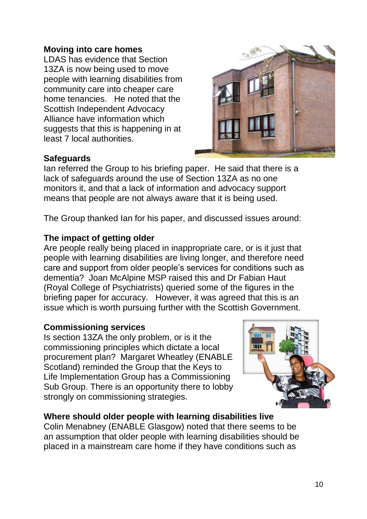#### **Moving into care homes**

LDAS has evidence that Section 13ZA is now being used to move people with learning disabilities from community care into cheaper care home tenancies. He noted that the Scottish Independent Advocacy Alliance have information which suggests that this is happening in at least 7 local authorities.



#### **Safeguards**

Ian referred the Group to his briefing paper. He said that there is a lack of safeguards around the use of Section 13ZA as no one monitors it, and that a lack of information and advocacy support means that people are not always aware that it is being used.

The Group thanked Ian for his paper, and discussed issues around:

#### **The impact of getting older**

Are people really being placed in inappropriate care, or is it just that people with learning disabilities are living longer, and therefore need care and support from older people's services for conditions such as dementia? Joan McAlpine MSP raised this and Dr Fabian Haut (Royal College of Psychiatrists) queried some of the figures in the briefing paper for accuracy. However, it was agreed that this is an issue which is worth pursuing further with the Scottish Government.

#### **Commissioning services**

Is section 13ZA the only problem, or is it the commissioning principles which dictate a local procurement plan? Margaret Wheatley (ENABLE Scotland) reminded the Group that the Keys to Life Implementation Group has a Commissioning Sub Group. There is an opportunity there to lobby strongly on commissioning strategies.



### **Where should older people with learning disabilities live**

Colin Menabney (ENABLE Glasgow) noted that there seems to be an assumption that older people with learning disabilities should be placed in a mainstream care home if they have conditions such as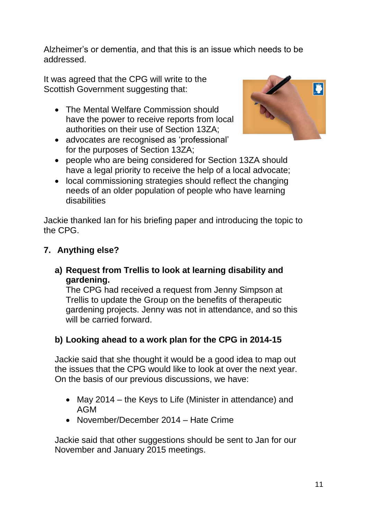Alzheimer's or dementia, and that this is an issue which needs to be addressed.

It was agreed that the CPG will write to the Scottish Government suggesting that:

- The Mental Welfare Commission should have the power to receive reports from local authorities on their use of Section 13ZA;
- advocates are recognised as 'professional' for the purposes of Section 13ZA;



- people who are being considered for Section 13ZA should have a legal priority to receive the help of a local advocate;
- local commissioning strategies should reflect the changing needs of an older population of people who have learning disabilities

Jackie thanked Ian for his briefing paper and introducing the topic to the CPG.

### **7. Anything else?**

**a) Request from Trellis to look at learning disability and gardening.**

The CPG had received a request from Jenny Simpson at Trellis to update the Group on the benefits of therapeutic gardening projects. Jenny was not in attendance, and so this will be carried forward.

# **b) Looking ahead to a work plan for the CPG in 2014-15**

Jackie said that she thought it would be a good idea to map out the issues that the CPG would like to look at over the next year. On the basis of our previous discussions, we have:

- May 2014 the Keys to Life (Minister in attendance) and AGM
- November/December 2014 Hate Crime

Jackie said that other suggestions should be sent to Jan for our November and January 2015 meetings.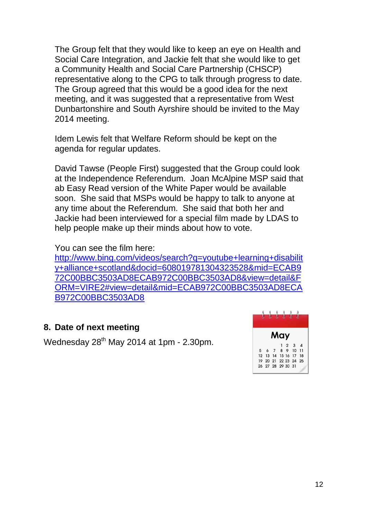The Group felt that they would like to keep an eye on Health and Social Care Integration, and Jackie felt that she would like to get a Community Health and Social Care Partnership (CHSCP) representative along to the CPG to talk through progress to date. The Group agreed that this would be a good idea for the next meeting, and it was suggested that a representative from West Dunbartonshire and South Ayrshire should be invited to the May 2014 meeting.

Idem Lewis felt that Welfare Reform should be kept on the agenda for regular updates.

David Tawse (People First) suggested that the Group could look at the Independence Referendum. Joan McAlpine MSP said that ab Easy Read version of the White Paper would be available soon. She said that MSPs would be happy to talk to anyone at any time about the Referendum. She said that both her and Jackie had been interviewed for a special film made by LDAS to help people make up their minds about how to vote.

You can see the film here:

[http://www.bing.com/videos/search?q=youtube+learning+disabilit](http://www.bing.com/videos/search?q=youtube+learning+disability+alliance+scotland&docid=608019781304323528&mid=ECAB972C00BBC3503AD8ECAB972C00BBC3503AD8&view=detail&FORM=VIRE2#view=detail&mid=ECAB972C00BBC3503AD8ECAB972C00BBC3503AD8) [y+alliance+scotland&docid=608019781304323528&mid=ECAB9](http://www.bing.com/videos/search?q=youtube+learning+disability+alliance+scotland&docid=608019781304323528&mid=ECAB972C00BBC3503AD8ECAB972C00BBC3503AD8&view=detail&FORM=VIRE2#view=detail&mid=ECAB972C00BBC3503AD8ECAB972C00BBC3503AD8) [72C00BBC3503AD8ECAB972C00BBC3503AD8&view=detail&F](http://www.bing.com/videos/search?q=youtube+learning+disability+alliance+scotland&docid=608019781304323528&mid=ECAB972C00BBC3503AD8ECAB972C00BBC3503AD8&view=detail&FORM=VIRE2#view=detail&mid=ECAB972C00BBC3503AD8ECAB972C00BBC3503AD8) [ORM=VIRE2#view=detail&mid=ECAB972C00BBC3503AD8ECA](http://www.bing.com/videos/search?q=youtube+learning+disability+alliance+scotland&docid=608019781304323528&mid=ECAB972C00BBC3503AD8ECAB972C00BBC3503AD8&view=detail&FORM=VIRE2#view=detail&mid=ECAB972C00BBC3503AD8ECAB972C00BBC3503AD8) [B972C00BBC3503AD8](http://www.bing.com/videos/search?q=youtube+learning+disability+alliance+scotland&docid=608019781304323528&mid=ECAB972C00BBC3503AD8ECAB972C00BBC3503AD8&view=detail&FORM=VIRE2#view=detail&mid=ECAB972C00BBC3503AD8ECAB972C00BBC3503AD8)

### **8. Date of next meeting**

Wednesday 28<sup>th</sup> May 2014 at 1pm - 2.30pm.